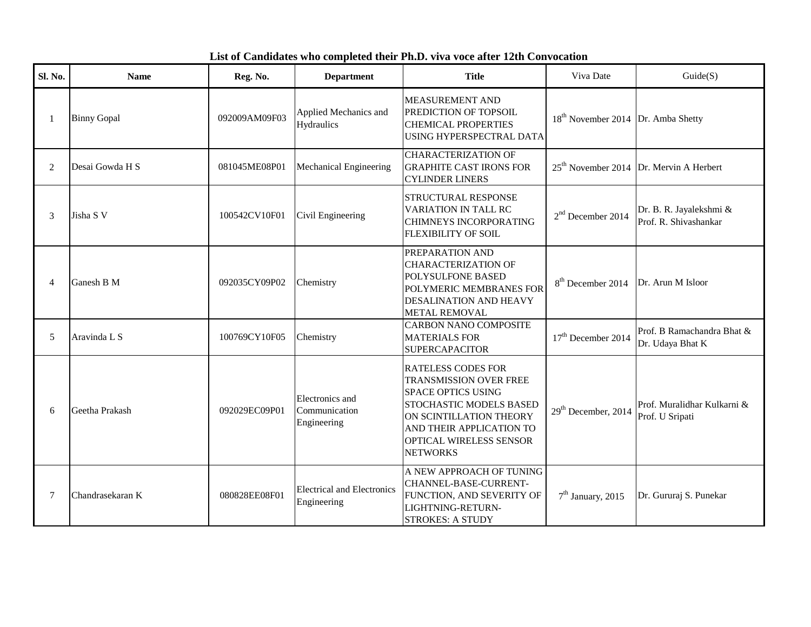## **List of Candidates who completed their Ph.D. viva voce after 12th Convocation**

| Sl. No. | <b>Name</b>        | Reg. No.      | <b>Department</b>                                | <b>Title</b>                                                                                                                                                                                                            | Viva Date                                      | Guide(S)                                         |
|---------|--------------------|---------------|--------------------------------------------------|-------------------------------------------------------------------------------------------------------------------------------------------------------------------------------------------------------------------------|------------------------------------------------|--------------------------------------------------|
| 1       | <b>Binny Gopal</b> | 092009AM09F03 | Applied Mechanics and<br>Hydraulics              | <b>MEASUREMENT AND</b><br>PREDICTION OF TOPSOIL<br><b>CHEMICAL PROPERTIES</b><br>USING HYPERSPECTRAL DATA                                                                                                               | 18 <sup>th</sup> November 2014 Dr. Amba Shetty |                                                  |
| 2       | Desai Gowda H S    | 081045ME08P01 | Mechanical Engineering                           | <b>CHARACTERIZATION OF</b><br><b>GRAPHITE CAST IRONS FOR</b><br><b>CYLINDER LINERS</b>                                                                                                                                  |                                                | $25th$ November 2014 Dr. Mervin A Herbert        |
| 3       | Jisha S V          | 100542CV10F01 | Civil Engineering                                | STRUCTURAL RESPONSE<br><b>VARIATION IN TALL RC</b><br>CHIMNEYS INCORPORATING<br><b>FLEXIBILITY OF SOIL</b>                                                                                                              | $2nd$ December 2014                            | Dr. B. R. Jayalekshmi &<br>Prof. R. Shivashankar |
| 4       | Ganesh B M         | 092035CY09P02 | Chemistry                                        | PREPARATION AND<br><b>CHARACTERIZATION OF</b><br>POLYSULFONE BASED<br>POLYMERIC MEMBRANES FOR<br><b>DESALINATION AND HEAVY</b><br><b>METAL REMOVAL</b>                                                                  | 8 <sup>th</sup> December 2014                  | Dr. Arun M Isloor                                |
| 5       | Aravinda L S       | 100769CY10F05 | Chemistry                                        | <b>CARBON NANO COMPOSITE</b><br><b>MATERIALS FOR</b><br><b>SUPERCAPACITOR</b>                                                                                                                                           | $17th$ December 2014                           | Prof. B Ramachandra Bhat &<br>Dr. Udaya Bhat K   |
| 6       | Geetha Prakash     | 092029EC09P01 | Electronics and<br>Communication<br>Engineering  | <b>RATELESS CODES FOR</b><br><b>TRANSMISSION OVER FREE</b><br><b>SPACE OPTICS USING</b><br>STOCHASTIC MODELS BASED<br>ON SCINTILLATION THEORY<br>AND THEIR APPLICATION TO<br>OPTICAL WIRELESS SENSOR<br><b>NETWORKS</b> | 29 <sup>th</sup> December, 2014                | Prof. Muralidhar Kulkarni &<br>Prof. U Sripati   |
| 7       | Chandrasekaran K   | 080828EE08F01 | <b>Electrical and Electronics</b><br>Engineering | A NEW APPROACH OF TUNING<br>CHANNEL-BASE-CURRENT-<br>FUNCTION, AND SEVERITY OF<br>LIGHTNING-RETURN-<br><b>STROKES: A STUDY</b>                                                                                          | $7th$ January, 2015                            | Dr. Gururaj S. Punekar                           |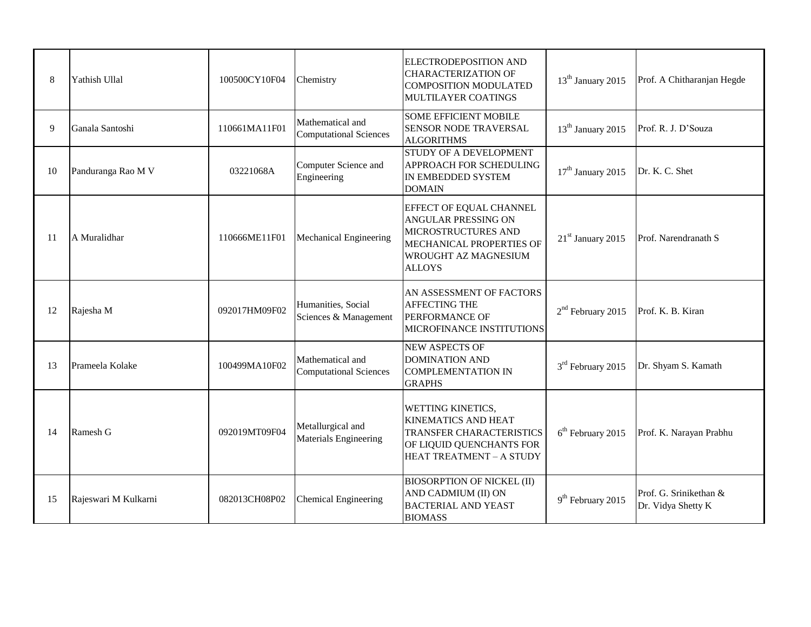| 8  | Yathish Ullal        | 100500CY10F04 | Chemistry                                         | <b>ELECTRODEPOSITION AND</b><br><b>CHARACTERIZATION OF</b><br><b>COMPOSITION MODULATED</b><br>MULTILAYER COATINGS                                        | 13 <sup>th</sup> January 2015 | Prof. A Chitharanjan Hegde                   |
|----|----------------------|---------------|---------------------------------------------------|----------------------------------------------------------------------------------------------------------------------------------------------------------|-------------------------------|----------------------------------------------|
| 9  | Ganala Santoshi      | 110661MA11F01 | Mathematical and<br><b>Computational Sciences</b> | <b>SOME EFFICIENT MOBILE</b><br>SENSOR NODE TRAVERSAL<br><b>ALGORITHMS</b>                                                                               | 13 <sup>th</sup> January 2015 | Prof. R. J. D'Souza                          |
| 10 | Panduranga Rao M V   | 03221068A     | Computer Science and<br>Engineering               | STUDY OF A DEVELOPMENT<br>APPROACH FOR SCHEDULING<br>IN EMBEDDED SYSTEM<br><b>DOMAIN</b>                                                                 | 17 <sup>th</sup> January 2015 | Dr. K. C. Shet                               |
| 11 | A Muralidhar         | 110666ME11F01 | Mechanical Engineering                            | EFFECT OF EQUAL CHANNEL<br><b>ANGULAR PRESSING ON</b><br>MICROSTRUCTURES AND<br>MECHANICAL PROPERTIES OF<br><b>WROUGHT AZ MAGNESIUM</b><br><b>ALLOYS</b> | 21 <sup>st</sup> January 2015 | Prof. Narendranath S                         |
| 12 | Rajesha M            | 092017HM09F02 | Humanities, Social<br>Sciences & Management       | AN ASSESSMENT OF FACTORS<br><b>AFFECTING THE</b><br><b>PERFORMANCE OF</b><br>MICROFINANCE INSTITUTIONS                                                   | $2nd$ February 2015           | Prof. K. B. Kiran                            |
| 13 | Prameela Kolake      | 100499MA10F02 | Mathematical and<br><b>Computational Sciences</b> | NEW ASPECTS OF<br><b>DOMINATION AND</b><br><b>COMPLEMENTATION IN</b><br><b>GRAPHS</b>                                                                    | $3rd$ February 2015           | Dr. Shyam S. Kamath                          |
| 14 | Ramesh G             | 092019MT09F04 | Metallurgical and<br>Materials Engineering        | <b>WETTING KINETICS,</b><br><b>KINEMATICS AND HEAT</b><br><b>TRANSFER CHARACTERISTICS</b><br>OF LIQUID QUENCHANTS FOR<br>HEAT TREATMENT - A STUDY        | $6th$ February 2015           | Prof. K. Narayan Prabhu                      |
| 15 | Rajeswari M Kulkarni | 082013CH08P02 | <b>Chemical Engineering</b>                       | <b>BIOSORPTION OF NICKEL (II)</b><br>AND CADMIUM (II) ON<br><b>BACTERIAL AND YEAST</b><br><b>BIOMASS</b>                                                 | 9 <sup>th</sup> February 2015 | Prof. G. Srinikethan &<br>Dr. Vidya Shetty K |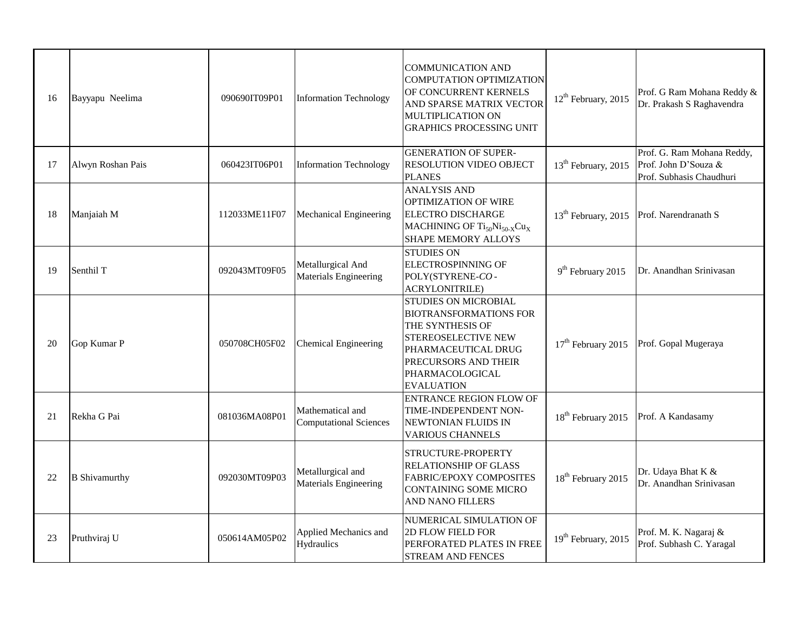| 16 | Bayyapu Neelima      | 090690IT09P01 | <b>Information Technology</b>                     | <b>COMMUNICATION AND</b><br>COMPUTATION OPTIMIZATION<br>OF CONCURRENT KERNELS<br>AND SPARSE MATRIX VECTOR<br>MULTIPLICATION ON<br><b>GRAPHICS PROCESSING UNIT</b>                                     | $12th$ February, 2015           | Prof. G Ram Mohana Reddy &<br>Dr. Prakash S Raghavendra                        |
|----|----------------------|---------------|---------------------------------------------------|-------------------------------------------------------------------------------------------------------------------------------------------------------------------------------------------------------|---------------------------------|--------------------------------------------------------------------------------|
| 17 | Alwyn Roshan Pais    | 060423IT06P01 | <b>Information Technology</b>                     | <b>GENERATION OF SUPER-</b><br><b>RESOLUTION VIDEO OBJECT</b><br><b>PLANES</b>                                                                                                                        | 13 <sup>th</sup> February, 2015 | Prof. G. Ram Mohana Reddy,<br>Prof. John D'Souza &<br>Prof. Subhasis Chaudhuri |
| 18 | Manjaiah M           | 112033ME11F07 | Mechanical Engineering                            | <b>ANALYSIS AND</b><br>OPTIMIZATION OF WIRE<br><b>ELECTRO DISCHARGE</b><br>MACHINING OF Ti <sub>50</sub> Ni <sub>50-X</sub> Cu <sub>X</sub><br><b>SHAPE MEMORY ALLOYS</b>                             | $13th$ February, 2015           | Prof. Narendranath S                                                           |
| 19 | Senthil T            | 092043MT09F05 | Metallurgical And<br>Materials Engineering        | <b>STUDIES ON</b><br><b>ELECTROSPINNING OF</b><br>POLY(STYRENE-CO-<br><b>ACRYLONITRILE)</b>                                                                                                           | 9 <sup>th</sup> February 2015   | Dr. Anandhan Srinivasan                                                        |
| 20 | Gop Kumar P          | 050708CH05F02 | <b>Chemical Engineering</b>                       | <b>STUDIES ON MICROBIAL</b><br><b>BIOTRANSFORMATIONS FOR</b><br>THE SYNTHESIS OF<br><b>STEREOSELECTIVE NEW</b><br>PHARMACEUTICAL DRUG<br>PRECURSORS AND THEIR<br>PHARMACOLOGICAL<br><b>EVALUATION</b> | $17th$ February 2015            | Prof. Gopal Mugeraya                                                           |
| 21 | Rekha G Pai          | 081036MA08P01 | Mathematical and<br><b>Computational Sciences</b> | <b>ENTRANCE REGION FLOW OF</b><br>TIME-INDEPENDENT NON-<br><b>INEWTONIAN FLUIDS IN</b><br><b>VARIOUS CHANNELS</b>                                                                                     | 18 <sup>th</sup> February 2015  | Prof. A Kandasamy                                                              |
| 22 | <b>B</b> Shivamurthy | 092030MT09P03 | Metallurgical and<br><b>Materials Engineering</b> | STRUCTURE-PROPERTY<br><b>RELATIONSHIP OF GLASS</b><br><b>FABRIC/EPOXY COMPOSITES</b><br><b>CONTAINING SOME MICRO</b><br><b>AND NANO FILLERS</b>                                                       | 18 <sup>th</sup> February 2015  | Dr. Udaya Bhat K &<br>Dr. Anandhan Srinivasan                                  |
| 23 | Pruthviraj U         | 050614AM05P02 | Applied Mechanics and<br>Hydraulics               | NUMERICAL SIMULATION OF<br><b>2D FLOW FIELD FOR</b><br>PERFORATED PLATES IN FREE<br><b>STREAM AND FENCES</b>                                                                                          | 19 <sup>th</sup> February, 2015 | Prof. M. K. Nagaraj &<br>Prof. Subhash C. Yaragal                              |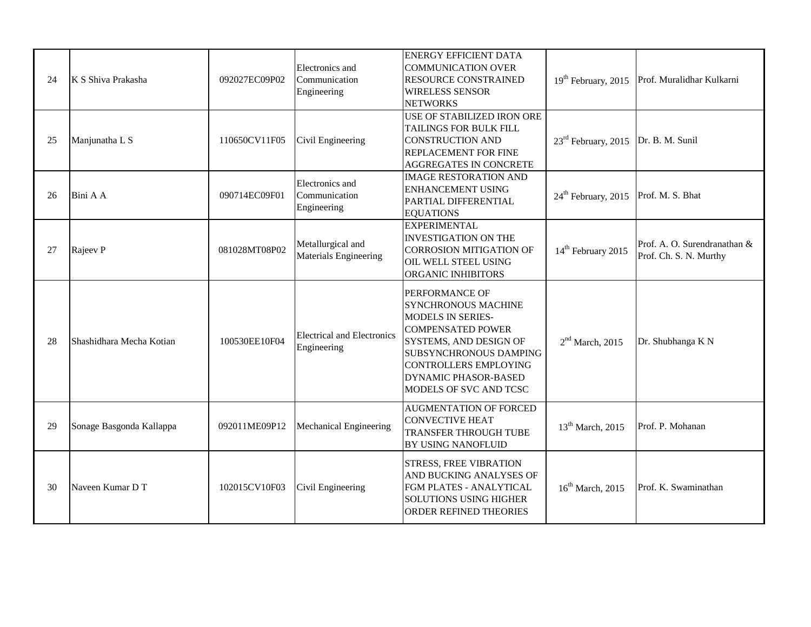| 24 | K S Shiva Prakasha       | 092027EC09P02 | Electronics and<br>Communication<br>Engineering  | <b>ENERGY EFFICIENT DATA</b><br><b>COMMUNICATION OVER</b><br><b>RESOURCE CONSTRAINED</b><br><b>WIRELESS SENSOR</b><br><b>NETWORKS</b>                                                                                                                    | 19 <sup>th</sup> February, 2015 | Prof. Muralidhar Kulkarni                              |
|----|--------------------------|---------------|--------------------------------------------------|----------------------------------------------------------------------------------------------------------------------------------------------------------------------------------------------------------------------------------------------------------|---------------------------------|--------------------------------------------------------|
| 25 | Manjunatha L S           | 110650CV11F05 | Civil Engineering                                | <b>USE OF STABILIZED IRON ORE</b><br><b>TAILINGS FOR BULK FILL</b><br><b>CONSTRUCTION AND</b><br><b>REPLACEMENT FOR FINE</b><br><b>AGGREGATES IN CONCRETE</b>                                                                                            | 23 <sup>rd</sup> February, 2015 | Dr. B. M. Sunil                                        |
| 26 | Bini A A                 | 090714EC09F01 | Electronics and<br>Communication<br>Engineering  | <b>IMAGE RESTORATION AND</b><br><b>ENHANCEMENT USING</b><br>PARTIAL DIFFERENTIAL<br><b>EQUATIONS</b>                                                                                                                                                     | $24th$ February, 2015           | Prof. M. S. Bhat                                       |
| 27 | Rajeev P                 | 081028MT08P02 | Metallurgical and<br>Materials Engineering       | <b>EXPERIMENTAL</b><br><b>INVESTIGATION ON THE</b><br><b>CORROSION MITIGATION OF</b><br>OIL WELL STEEL USING<br>ORGANIC INHIBITORS                                                                                                                       | 14 <sup>th</sup> February 2015  | Prof. A. O. Surendranathan &<br>Prof. Ch. S. N. Murthy |
| 28 | Shashidhara Mecha Kotian | 100530EE10F04 | <b>Electrical and Electronics</b><br>Engineering | <b>PERFORMANCE OF</b><br><b>SYNCHRONOUS MACHINE</b><br><b>MODELS IN SERIES-</b><br><b>COMPENSATED POWER</b><br>SYSTEMS, AND DESIGN OF<br><b>SUBSYNCHRONOUS DAMPING</b><br>CONTROLLERS EMPLOYING<br><b>DYNAMIC PHASOR-BASED</b><br>MODELS OF SVC AND TCSC | $2nd$ March, 2015               | Dr. Shubhanga K N                                      |
| 29 | Sonage Basgonda Kallappa | 092011ME09P12 | Mechanical Engineering                           | <b>AUGMENTATION OF FORCED</b><br><b>CONVECTIVE HEAT</b><br><b>TRANSFER THROUGH TUBE</b><br><b>BY USING NANOFLUID</b>                                                                                                                                     | $13th$ March, 2015              | Prof. P. Mohanan                                       |
| 30 | Naveen Kumar D T         | 102015CV10F03 | Civil Engineering                                | <b>STRESS, FREE VIBRATION</b><br>AND BUCKING ANALYSES OF<br>FGM PLATES - ANALYTICAL<br><b>SOLUTIONS USING HIGHER</b><br><b>ORDER REFINED THEORIES</b>                                                                                                    | $16^{\text{th}}$ March, 2015    | Prof. K. Swaminathan                                   |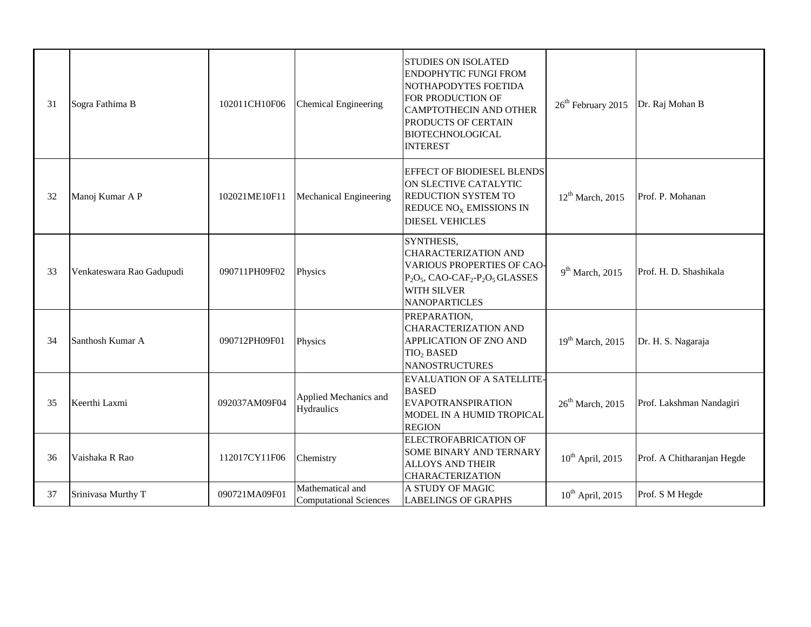| 31 | Sogra Fathima B           | 102011CH10F06 | <b>Chemical Engineering</b>                       | <b>STUDIES ON ISOLATED</b><br><b>ENDOPHYTIC FUNGI FROM</b><br>NOTHAPODYTES FOETIDA<br>FOR PRODUCTION OF<br><b>CAMPTOTHECIN AND OTHER</b><br>PRODUCTS OF CERTAIN<br><b>BIOTECHNOLOGICAL</b><br><b>INTEREST</b> | 26 <sup>th</sup> February 2015 | Dr. Raj Mohan B            |
|----|---------------------------|---------------|---------------------------------------------------|---------------------------------------------------------------------------------------------------------------------------------------------------------------------------------------------------------------|--------------------------------|----------------------------|
| 32 | Manoj Kumar A P           | 102021ME10F11 | <b>Mechanical Engineering</b>                     | <b>EFFECT OF BIODIESEL BLENDS</b><br>ON SLECTIVE CATALYTIC<br><b>REDUCTION SYSTEM TO</b><br>REDUCE NO <sub>X</sub> EMISSIONS IN<br><b>DIESEL VEHICLES</b>                                                     | $12^{th}$ March, 2015          | Prof. P. Mohanan           |
| 33 | Venkateswara Rao Gadupudi | 090711PH09F02 | Physics                                           | SYNTHESIS,<br>CHARACTERIZATION AND<br><b>VARIOUS PROPERTIES OF CAO-</b><br>$P_2O_5$ , CAO-CAF <sub>2</sub> - $P_2O_5$ GLASSES<br><b>WITH SILVER</b><br><b>NANOPARTICLES</b>                                   | $9th$ March, 2015              | Prof. H. D. Shashikala     |
| 34 | Santhosh Kumar A          | 090712PH09F01 | Physics                                           | PREPARATION,<br><b>CHARACTERIZATION AND</b><br>APPLICATION OF ZNO AND<br>TIO <sub>2</sub> BASED<br><b>NANOSTRUCTURES</b>                                                                                      | $19th$ March, 2015             | Dr. H. S. Nagaraja         |
| 35 | Keerthi Laxmi             | 092037AM09F04 | Applied Mechanics and<br>Hydraulics               | <b>EVALUATION OF A SATELLITE-</b><br><b>BASED</b><br><b>EVAPOTRANSPIRATION</b><br>MODEL IN A HUMID TROPICAL<br><b>REGION</b>                                                                                  | $26th$ March, 2015             | Prof. Lakshman Nandagiri   |
| 36 | Vaishaka R Rao            | 112017CY11F06 | Chemistry                                         | ELECTROFABRICATION OF<br>SOME BINARY AND TERNARY<br><b>ALLOYS AND THEIR</b><br><b>CHARACTERIZATION</b>                                                                                                        | $10^{th}$ April, 2015          | Prof. A Chitharanjan Hegde |
| 37 | Srinivasa Murthy T        | 090721MA09F01 | Mathematical and<br><b>Computational Sciences</b> | A STUDY OF MAGIC<br><b>LABELINGS OF GRAPHS</b>                                                                                                                                                                | $10^{th}$ April, 2015          | Prof. S M Hegde            |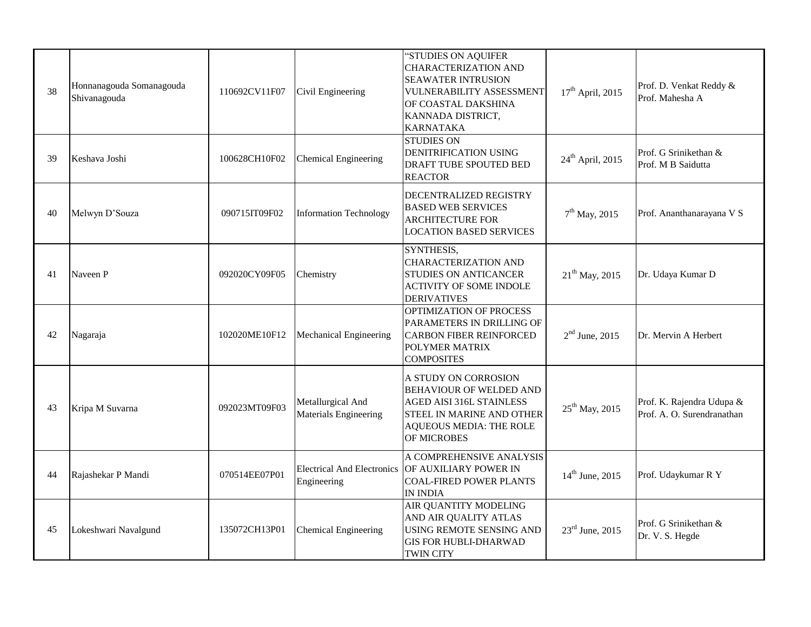| 38 | Honnanagouda Somanagouda<br>Shivanagouda | 110692CV11F07 | Civil Engineering                          | "STUDIES ON AQUIFER<br><b>CHARACTERIZATION AND</b><br><b>SEAWATER INTRUSION</b><br><b>VULNERABILITY ASSESSMENT</b><br>OF COASTAL DAKSHINA<br>KANNADA DISTRICT,<br><b>KARNATAKA</b> | $17th$ April, 2015           | Prof. D. Venkat Reddy &<br>Prof. Mahesha A              |
|----|------------------------------------------|---------------|--------------------------------------------|------------------------------------------------------------------------------------------------------------------------------------------------------------------------------------|------------------------------|---------------------------------------------------------|
| 39 | Keshava Joshi                            | 100628CH10F02 | <b>Chemical Engineering</b>                | <b>STUDIES ON</b><br><b>DENITRIFICATION USING</b><br>DRAFT TUBE SPOUTED BED<br><b>REACTOR</b>                                                                                      | $24^{\text{th}}$ April, 2015 | Prof. G Srinikethan &<br>Prof. M B Saidutta             |
| 40 | Melwyn D'Souza                           | 090715IT09F02 | <b>Information Technology</b>              | <b>DECENTRALIZED REGISTRY</b><br><b>BASED WEB SERVICES</b><br><b>ARCHITECTURE FOR</b><br><b>LOCATION BASED SERVICES</b>                                                            | $7th$ May, 2015              | Prof. Ananthanarayana V S                               |
| 41 | Naveen P                                 | 092020CY09F05 | Chemistry                                  | SYNTHESIS,<br><b>CHARACTERIZATION AND</b><br><b>STUDIES ON ANTICANCER</b><br><b>ACTIVITY OF SOME INDOLE</b><br><b>DERIVATIVES</b>                                                  | $21^{th}$ May, 2015          | Dr. Udaya Kumar D                                       |
| 42 | Nagaraja                                 | 102020ME10F12 | Mechanical Engineering                     | OPTIMIZATION OF PROCESS<br>PARAMETERS IN DRILLING OF<br><b>CARBON FIBER REINFORCED</b><br>POLYMER MATRIX<br><b>COMPOSITES</b>                                                      | $2nd$ June, 2015             | Dr. Mervin A Herbert                                    |
| 43 | Kripa M Suvarna                          | 092023MT09F03 | Metallurgical And<br>Materials Engineering | A STUDY ON CORROSION<br><b>BEHAVIOUR OF WELDED AND</b><br><b>AGED AISI 316L STAINLESS</b><br>STEEL IN MARINE AND OTHER<br><b>AQUEOUS MEDIA: THE ROLE</b><br>OF MICROBES            | $25^{th}$ May, 2015          | Prof. K. Rajendra Udupa &<br>Prof. A. O. Surendranathan |
| 44 | Rajashekar P Mandi                       | 070514EE07P01 | Engineering                                | A COMPREHENSIVE ANALYSIS<br>Electrical And Electronics OF AUXILIARY POWER IN<br><b>COAL-FIRED POWER PLANTS</b><br>IN INDIA                                                         | $14^{th}$ June, 2015         | Prof. Udaykumar R Y                                     |
| 45 | Lokeshwari Navalgund                     | 135072CH13P01 | <b>Chemical Engineering</b>                | AIR QUANTITY MODELING<br>AND AIR QUALITY ATLAS<br><b>USING REMOTE SENSING AND</b><br><b>GIS FOR HUBLI-DHARWAD</b><br><b>TWIN CITY</b>                                              | $23^{\text{rd}}$ June, 2015  | Prof. G Srinikethan &<br>Dr. V. S. Hegde                |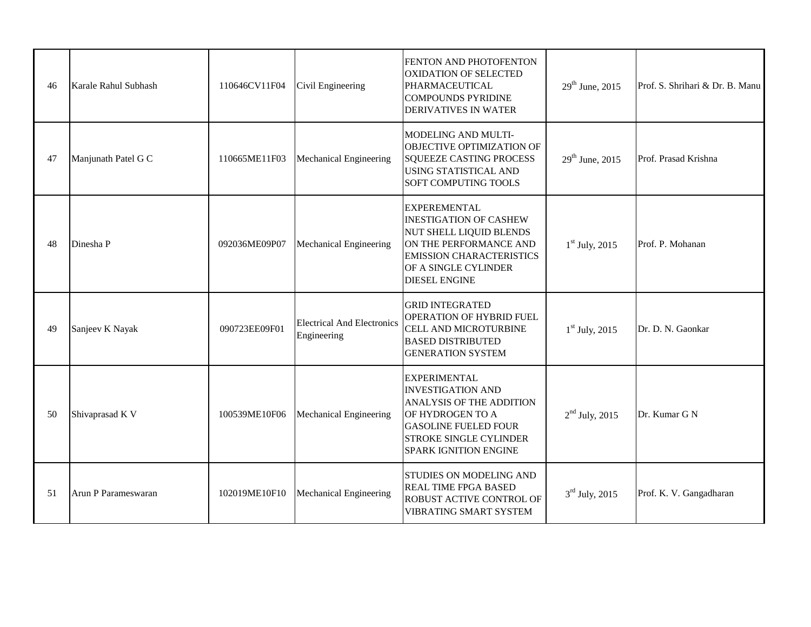| 46 | Karale Rahul Subhash | 110646CV11F04 | Civil Engineering                                | FENTON AND PHOTOFENTON<br><b>OXIDATION OF SELECTED</b><br>PHARMACEUTICAL<br><b>COMPOUNDS PYRIDINE</b><br><b>DERIVATIVES IN WATER</b>                                                                   | $29^{th}$ June, 2015 | Prof. S. Shrihari & Dr. B. Manu |
|----|----------------------|---------------|--------------------------------------------------|--------------------------------------------------------------------------------------------------------------------------------------------------------------------------------------------------------|----------------------|---------------------------------|
| 47 | Manjunath Patel G C  | 110665ME11F03 | Mechanical Engineering                           | MODELING AND MULTI-<br>OBJECTIVE OPTIMIZATION OF<br><b>SQUEEZE CASTING PROCESS</b><br><b>USING STATISTICAL AND</b><br><b>SOFT COMPUTING TOOLS</b>                                                      | $29^{th}$ June, 2015 | Prof. Prasad Krishna            |
| 48 | Dinesha P            | 092036ME09P07 | Mechanical Engineering                           | <b>EXPEREMENTAL</b><br><b>INESTIGATION OF CASHEW</b><br><b>NUT SHELL LIQUID BLENDS</b><br>ON THE PERFORMANCE AND<br><b>EMISSION CHARACTERISTICS</b><br>OF A SINGLE CYLINDER<br><b>DIESEL ENGINE</b>    | $1st$ July, 2015     | Prof. P. Mohanan                |
| 49 | Sanjeev K Nayak      | 090723EE09F01 | <b>Electrical And Electronics</b><br>Engineering | <b>GRID INTEGRATED</b><br>OPERATION OF HYBRID FUEL<br><b>CELL AND MICROTURBINE</b><br><b>BASED DISTRIBUTED</b><br><b>GENERATION SYSTEM</b>                                                             | $1st$ July, 2015     | Dr. D. N. Gaonkar               |
| 50 | Shivaprasad K V      | 100539ME10F06 | <b>Mechanical Engineering</b>                    | <b>EXPERIMENTAL</b><br><b>INVESTIGATION AND</b><br><b>ANALYSIS OF THE ADDITION</b><br>OF HYDROGEN TO A<br><b>GASOLINE FUELED FOUR</b><br><b>STROKE SINGLE CYLINDER</b><br><b>SPARK IGNITION ENGINE</b> | $2nd$ July, 2015     | Dr. Kumar G N                   |
| 51 | Arun P Parameswaran  | 102019ME10F10 | Mechanical Engineering                           | <b>STUDIES ON MODELING AND</b><br><b>REAL TIME FPGA BASED</b><br><b>ROBUST ACTIVE CONTROL OF</b><br><b>VIBRATING SMART SYSTEM</b>                                                                      | $3rd$ July, 2015     | Prof. K. V. Gangadharan         |